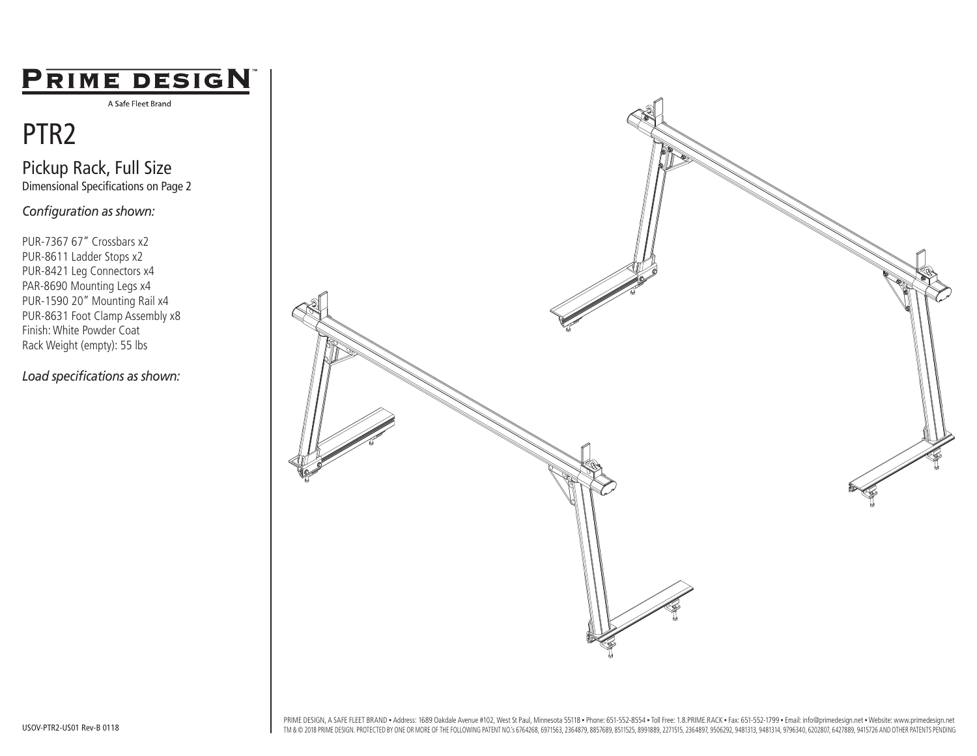### PRIME DESIGN

A Safe Fleet Brand

## PTR2

Pickup Rack, Full Size Dimensional Specifications on Page 2

*Configuration as shown:*

PUR-7367 67" Crossbars x2 PUR-8611 Ladder Stops x2 PUR-8421 Leg Connectors x4 PAR-8690 Mounting Legs x4 PUR-1590 20" Mounting Rail x4 PUR-8631 Foot Clamp Assembly x8 Finish: White Powder Coat Rack Weight (empty): 55 lbs

*Load specifications as shown:*



PRIME DESIGN, A SAFE FLEET BRAND . Address: 1689 Oakdale Avenue #102, West St Paul, Minnesota 55118 . Phone: 651-552-8554 . Toll Free: 1.8.PRIME.RACK . Fax: 651-552-1799 . Email: info@primedesign.net . Website: www.primede TM & @ 2018 PRIME DESIGN. PROTECTED BY ONE OR MORE OF THE FOLLOWING PATENT NO.'s 6764268, 6971563, 2364879, 8857689, 8511525, 8991889, 2271515, 2364897, 9506292, 9481313, 9481314, 9796340, 6202807, 6427889, 9415726 AND OTH